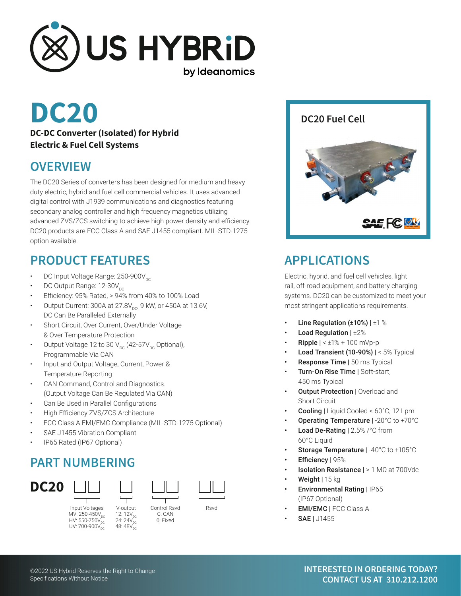

#### **DC-DC Converter (Isolated) for Hybrid Electric & Fuel Cell Systems**

#### **OVERVIEW**

The DC20 Series of converters has been designed for medium and heavy duty electric, hybrid and fuel cell commercial vehicles. It uses advanced digital control with J1939 communications and diagnostics featuring secondary analog controller and high frequency magnetics utilizing advanced ZVS/ZCS switching to achieve high power density and efficiency. DC20 products are FCC Class A and SAE J1455 compliant. MIL-STD-1275 option available.

## **PRODUCT FEATURES**

- DC Input Voltage Range: 250-900V<sub>DC</sub>
- DC Output Range: 12-30V<sub>DC</sub>
- Efficiency: 95% Rated, > 94% from 40% to 100% Load
- Output Current: 300A at  $27.8V_{\text{DC}}$ , 9 kW, or 450A at 13.6V, DC Can Be Paralleled Externally
- Short Circuit, Over Current, Over/Under Voltage & Over Temperature Protection
- Output Voltage 12 to 30  $V_{DC}$  (42-57 $V_{DC}$  Optional), Programmable Via CAN
- Input and Output Voltage, Current, Power & Temperature Reporting
- CAN Command, Control and Diagnostics. (Output Voltage Can Be Regulated Via CAN)
- Can Be Used in Parallel Configurations
- High Efficiency ZVS/ZCS Architecture
- FCC Class A EMI/EMC Compliance (MIL-STD-1275 Optional)
- SAE J1455 Vibration Compliant
- IP65 Rated (IP67 Optional)

## **PART NUMBERING**



MV: 250-450V<sub>DC</sub><br>HV: 550-750V<sub>DC</sub> UV:  $700-900V_{\rm{DC}}$ 



C: CAN 0: Fixed



# **APPLICATIONS**

Electric, hybrid, and fuel cell vehicles, light rail, off-road equipment, and battery charging systems. DC20 can be customized to meet your most stringent applications requirements.

- Line Regulation ( $\pm 10\%$ ) |  $\pm 1\%$
- Load Regulation | ±2%
- **Ripple**  $\vert < \pm 1\% + 100$  mVp-p
- Load Transient (10-90%)  $| < 5%$  Typical
- **Response Time | 50 ms Typical**
- Turn-On Rise Time | Soft-start, 450 ms Typical
- **Output Protection | Overload and** Short Circuit
- Cooling | Liquid Cooled < 60°C, 12 Lpm
- Operating Temperature | -20°C to +70°C
- Load De-Rating | 2.5% /°C from 60°C Liquid
- Storage Temperature | -40°C to +105°C
- Efficiency | 95%
- Isolation Resistance | > 1 MΩ at 700Vdc
- Weight | 15 kg
- Environmental Rating | IP65 (IP67 Optional)
- EMI/EMC | FCC Class A
- SAE | J1455